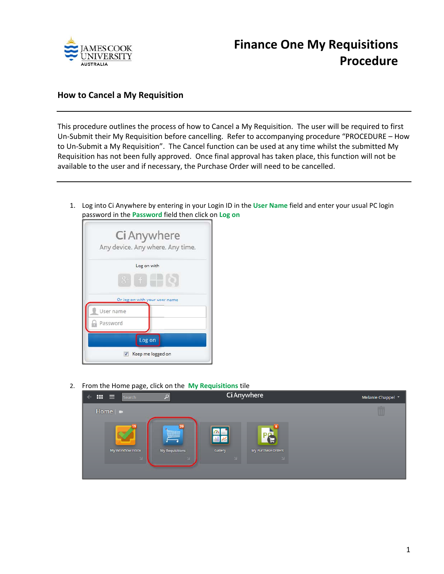

## **How to Cancel a My Requisition**

This procedure outlines the process of how to Cancel a My Requisition. The user will be required to first Un‐Submit their My Requisition before cancelling. Refer to accompanying procedure "PROCEDURE – How to Un‐Submit a My Requisition". The Cancel function can be used at any time whilst the submitted My Requisition has not been fully approved. Once final approval has taken place, this function will not be available to the user and if necessary, the Purchase Order will need to be cancelled.

1. Log into Ci Anywhere by entering in your Login ID in the **User Name** field and enter your usual PC login password in the **Password** field then click on **Log on**



2. From the Home page, click on the **My Requisitions** tile